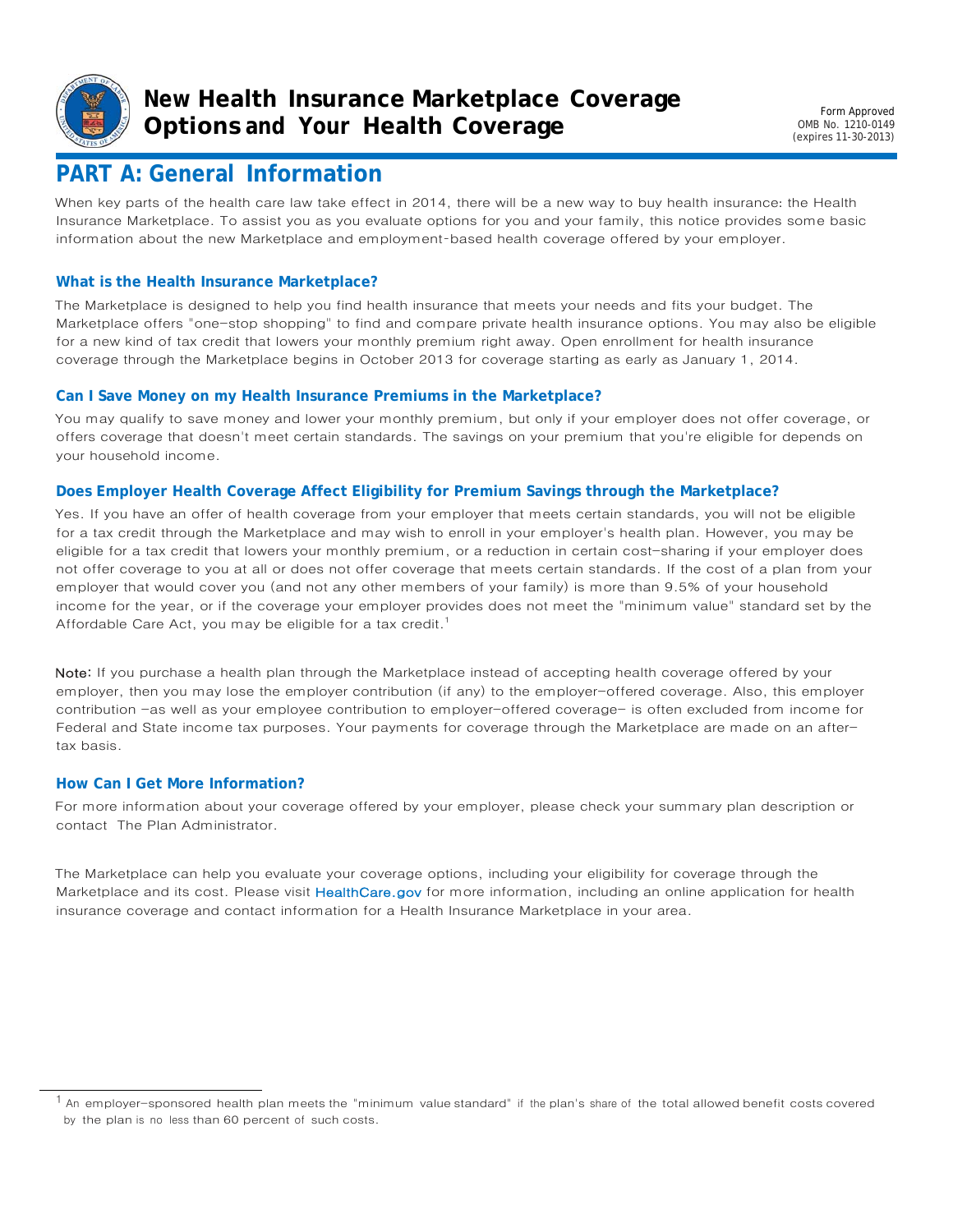

**New Health Insurance Marketplace Coverage Options and Your Health Coverage**

Form Approved OMB No. 1210-0149 (expires 11-30-2013)

# **PART A: General Information**

When key parts of the health care law take effect in 2014, there will be a new way to buy health insurance: the Health Insurance Marketplace. To assist you as you evaluate options for you and your family, this notice provides some basic information about the new Marketplace and employment-based health coverage offered by your employer.

### **What is the Health Insurance Marketplace?**

The Marketplace is designed to help you find health insurance that meets your needs and fits your budget. The Marketplace offers "one-stop shopping" to find and compare private health insurance options. You may also be eligible for a new kind of tax credit that lowers your monthly premium right away. Open enrollment for health insurance coverage through the Marketplace begins in October 2013 for coverage starting as early as January 1, 2014.

#### **Can I Save Money on my Health Insurance Premiums in the Marketplace?**

You may qualify to save money and lower your monthly premium, but only if your employer does not offer coverage, or offers coverage that doesn't meet certain standards. The savings on your premium that you're eligible for depends on your household income.

#### **Does Employer Health Coverage Affect Eligibility for Premium Savings through the Marketplace?**

Yes. If you have an offer of health coverage from your employer that meets certain standards, you will not be eligible for a tax credit through the Marketplace and may wish to enroll in your employer's health plan. However, you may be eligible for a tax credit that lowers your monthly premium, or a reduction in certain cost-sharing if your employer does not offer coverage to you at all or does not offer coverage that meets certain standards. If the cost of a plan from your employer that would cover you (and not any other members of your family) is more than 9.5% of your household income for the year, or if the coverage your employer provides does not meet the "minimum value" standard set by the Affordable Care Act, you may be eligible for a tax credit.<sup>1</sup>

Note: If you purchase a health plan through the Marketplace instead of accepting health coverage offered by your employer, then you may lose the employer contribution (if any) to the employer-offered coverage. Also, this employer contribution -as well as your employee contribution to employer-offered coverage- is often excluded from income for Federal and State income tax purposes. Your payments for coverage through the Marketplace are made on an aftertax basis.

#### **How Can I Get More Information?**

For more information about your coverage offered by your employer, please check your summary plan description or contact The Plan Administrator.

The Marketplace can help you evaluate your coverage options, including your eligibility for coverage through the Marketplace and its cost. Please visit HealthCare.gov for more information, including an online application for health insurance coverage and contact information for a Health Insurance Marketplace in your area.

<sup>&</sup>lt;sup>1</sup> An employer-sponsored health plan meets the "minimum value standard" if the plan's share of the total allowed benefit costs covered by the plan is no less than 60 percent of such costs.